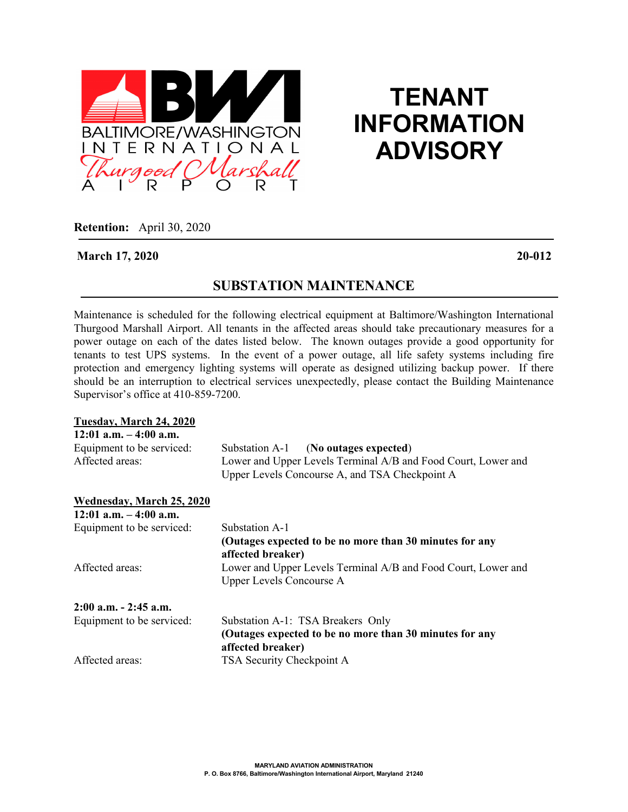

# **TENANT INFORMATION ADVISORY**

**Retention:** April 30, 2020

### **March 17, 2020 20-012**

# **SUBSTATION MAINTENANCE**

Maintenance is scheduled for the following electrical equipment at Baltimore/Washington International Thurgood Marshall Airport. All tenants in the affected areas should take precautionary measures for a power outage on each of the dates listed below. The known outages provide a good opportunity for tenants to test UPS systems. In the event of a power outage, all life safety systems including fire protection and emergency lighting systems will operate as designed utilizing backup power. If there should be an interruption to electrical services unexpectedly, please contact the Building Maintenance Supervisor's office at 410-859-7200.

#### **Tuesday, March 24, 2020**

| $12:01$ a.m. $-4:00$ a.m. |                                                               |
|---------------------------|---------------------------------------------------------------|
| Equipment to be serviced: | Substation A-1<br>(No outages expected)                       |
| Affected areas:           | Lower and Upper Levels Terminal A/B and Food Court, Lower and |
|                           | Upper Levels Concourse A, and TSA Checkpoint A                |
| Wednesday, March 25, 2020 |                                                               |
| $12:01$ a.m. $-4:00$ a.m. |                                                               |
| Equipment to be serviced: | Substation A-1                                                |
|                           | (Outages expected to be no more than 30 minutes for any       |
|                           | affected breaker)                                             |
| Affected areas:           | Lower and Upper Levels Terminal A/B and Food Court, Lower and |
|                           | <b>Upper Levels Concourse A</b>                               |
| $2:00$ a.m. $-2:45$ a.m.  |                                                               |
| Equipment to be serviced: | Substation A-1: TSA Breakers Only                             |
|                           | (Outages expected to be no more than 30 minutes for any       |
|                           | affected breaker)                                             |
| Affected areas:           | TSA Security Checkpoint A                                     |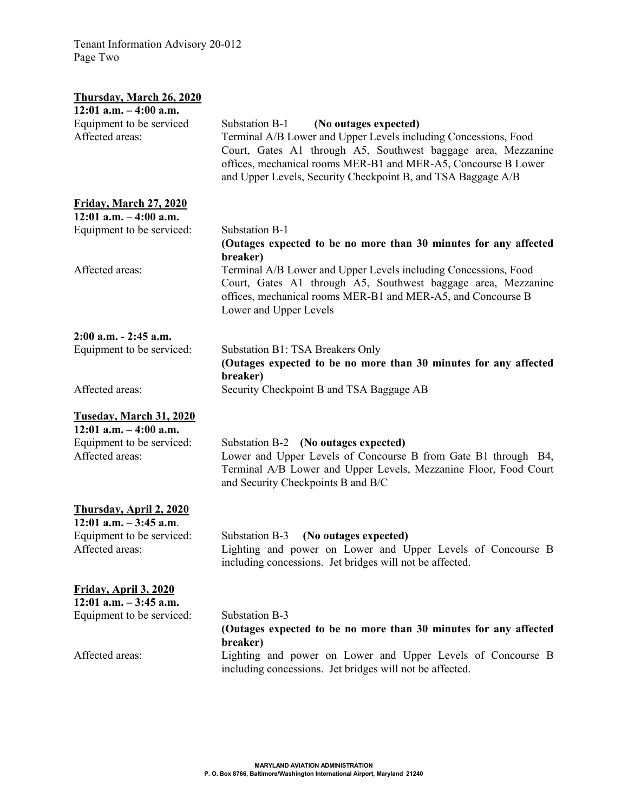Tenant Information Advisory 20-012 Page Two

| <b>Thursday, March 26, 2020</b>                                                                             |                                                                                                                                                                                                                                                                                                               |
|-------------------------------------------------------------------------------------------------------------|---------------------------------------------------------------------------------------------------------------------------------------------------------------------------------------------------------------------------------------------------------------------------------------------------------------|
| $12:01$ a.m. $-4:00$ a.m.                                                                                   |                                                                                                                                                                                                                                                                                                               |
| Equipment to be serviced<br>Affected areas:                                                                 | (No outages expected)<br>Substation B-1<br>Terminal A/B Lower and Upper Levels including Concessions, Food<br>Court, Gates A1 through A5, Southwest baggage area, Mezzanine<br>offices, mechanical rooms MER-B1 and MER-A5, Concourse B Lower<br>and Upper Levels, Security Checkpoint B, and TSA Baggage A/B |
| <b>Friday, March 27, 2020</b>                                                                               |                                                                                                                                                                                                                                                                                                               |
| $12:01$ a.m. $-4:00$ a.m.                                                                                   |                                                                                                                                                                                                                                                                                                               |
| Equipment to be serviced:                                                                                   | Substation B-1<br>(Outages expected to be no more than 30 minutes for any affected<br>breaker)                                                                                                                                                                                                                |
| Affected areas:                                                                                             | Terminal A/B Lower and Upper Levels including Concessions, Food<br>Court, Gates A1 through A5, Southwest baggage area, Mezzanine<br>offices, mechanical rooms MER-B1 and MER-A5, and Concourse B<br>Lower and Upper Levels                                                                                    |
| $2:00$ a.m. $- 2:45$ a.m.                                                                                   |                                                                                                                                                                                                                                                                                                               |
| Equipment to be serviced:                                                                                   | Substation B1: TSA Breakers Only<br>(Outages expected to be no more than 30 minutes for any affected<br>breaker)                                                                                                                                                                                              |
| Affected areas:                                                                                             | Security Checkpoint B and TSA Baggage AB                                                                                                                                                                                                                                                                      |
| Tuseday, March 31, 2020<br>$12:01$ a.m. $-4:00$ a.m.<br>Equipment to be serviced:<br>Affected areas:        | Substation B-2 (No outages expected)<br>Lower and Upper Levels of Concourse B from Gate B1 through B4,<br>Terminal A/B Lower and Upper Levels, Mezzanine Floor, Food Court<br>and Security Checkpoints B and B/C                                                                                              |
| <b>Thursday, April 2, 2020</b><br>$12:01$ a.m. $-3:45$ a.m.<br>Equipment to be serviced:<br>Affected areas: | Substation B-3<br>(No outages expected)<br>Lighting and power on Lower and Upper Levels of Concourse B<br>including concessions. Jet bridges will not be affected.                                                                                                                                            |
| <b>Friday, April 3, 2020</b><br>$12:01$ a.m. $-3:45$ a.m.<br>Equipment to be serviced:<br>Affected areas:   | Substation B-3<br>(Outages expected to be no more than 30 minutes for any affected<br>breaker)<br>Lighting and power on Lower and Upper Levels of Concourse B<br>including concessions. Jet bridges will not be affected.                                                                                     |
|                                                                                                             |                                                                                                                                                                                                                                                                                                               |